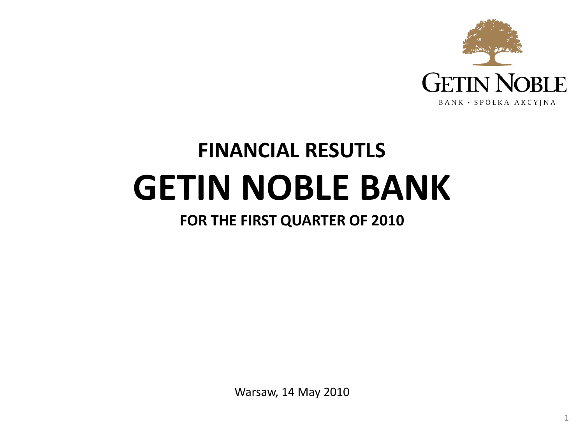

# **FINANCIAL RESUTLS GETIN NOBLE BANK**

# **FOR THE FIRST QUARTER OF 2010**

Warsaw, 14 May 2010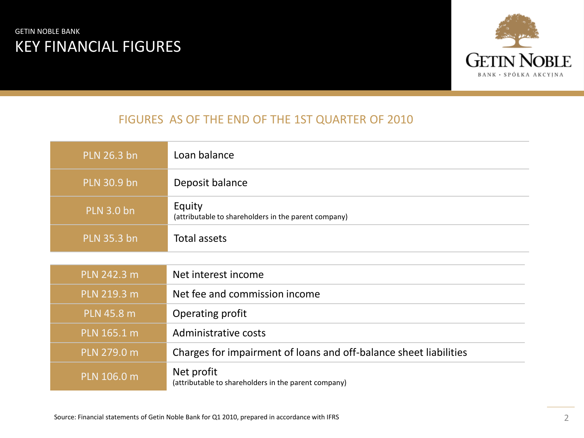### GETIN NOBLE BANK KEY FINANCIAL FIGURES



### FIGURES AS OF THE END OF THE 1ST QUARTER OF 2010

| PLN 26.3 bn       | Loan balance                                                       |
|-------------------|--------------------------------------------------------------------|
| PLN 30.9 bn       | Deposit balance                                                    |
| <b>PLN 3.0 bn</b> | Equity<br>(attributable to shareholders in the parent company)     |
| PLN 35.3 bn       | <b>Total assets</b>                                                |
|                   |                                                                    |
| PLN 242.3 m       | Net interest income                                                |
| PLN 219.3 m       | Net fee and commission income                                      |
| <b>PLN 45.8 m</b> | Operating profit                                                   |
| PLN 165.1 m       | Administrative costs                                               |
| PLN 279.0 m       | Charges for impairment of loans and off-balance sheet liabilities  |
| PLN 106.0 m       | Net profit<br>(attributable to shareholders in the parent company) |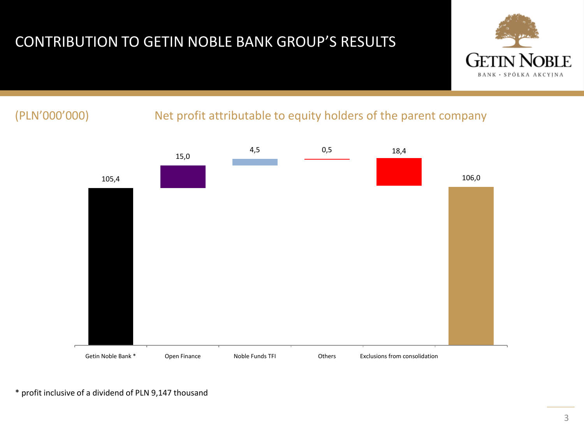# CONTRIBUTION TO GETIN NOBLE BANK GROUP'S RESULTS



### (PLN'000'000) Net profit attributable to equity holders of the parent company



\* profit inclusive of a dividend of PLN 9,147 thousand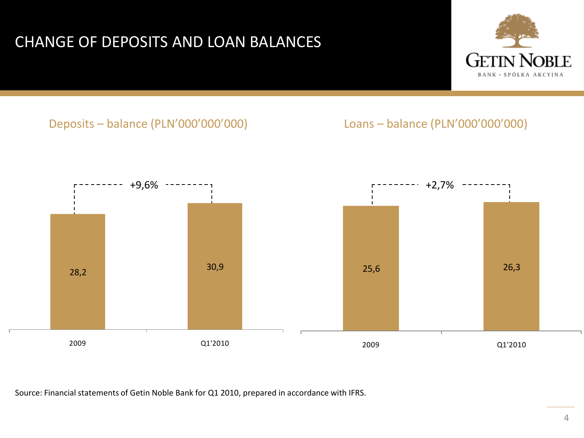# CHANGE OF DEPOSITS AND LOAN BALANCES



### Deposits – balance (PLN'000'000'000) Loans – balance (PLN'000'000'000)



Source: Financial statements of Getin Noble Bank for Q1 2010, prepared in accordance with IFRS.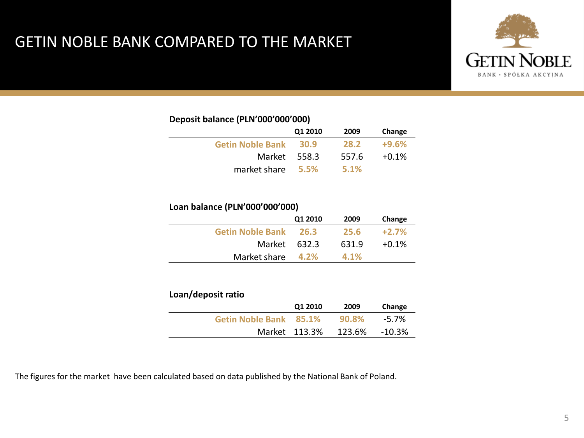# GETIN NOBLE BANK COMPARED TO THE MARKET



### **Deposit balance (PLN'000'000'000)**

|                         | Q1 2010 | 2009  | Change  |
|-------------------------|---------|-------|---------|
| <b>Getin Noble Bank</b> | 30.9    | 28.2  | $+9.6%$ |
| Market                  | 558.3   | 557.6 | $+0.1%$ |
| market share            | - 5.5%  | 5.1%  |         |

### **Loan balance (PLN'000'000'000)**

|                         | Q1 2010 | 2009  | Change  |
|-------------------------|---------|-------|---------|
| <b>Getin Noble Bank</b> | 26.3    | 25.6  | $+2.7%$ |
| Market 632.3            |         | 631.9 | $+0.1%$ |
| Market share            | 4.2%    | 4.1%  |         |

### **Loan/deposit ratio**

|                        | Q1 2010       | 2009   | Change |
|------------------------|---------------|--------|--------|
| Getin Noble Bank 85.1% |               | 90.8%  | -5.7%  |
|                        | Market 113.3% | 123.6% | -10.3% |

The figures for the market have been calculated based on data published by the National Bank of Poland.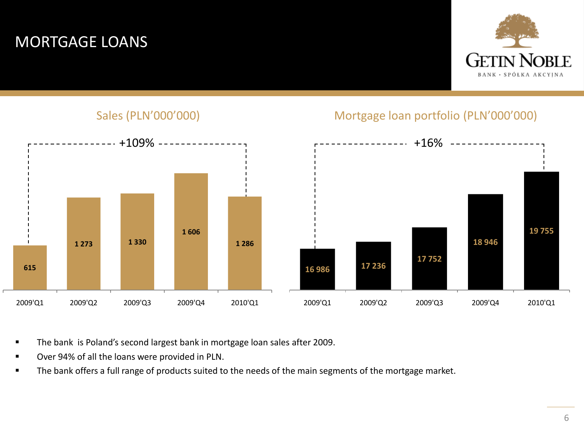# MORTGAGE LOANS



Sales (PLN'000'000) Mortgage loan portfolio (PLN'000'000)



- The bank is Poland's second largest bank in mortgage loan sales after 2009.
- Over 94% of all the loans were provided in PLN.
- The bank offers a full range of products suited to the needs of the main segments of the mortgage market.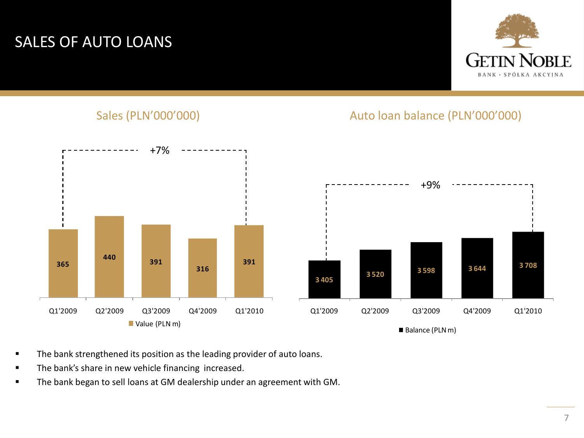# SALES OF AUTO LOANS



### Sales (PLN'000'000) and a series and all the Auto loan balance (PLN'000'000)



- The bank strengthened its position as the leading provider of auto loans.
- The bank's share in new vehicle financing increased.
- The bank began to sell loans at GM dealership under an agreement with GM.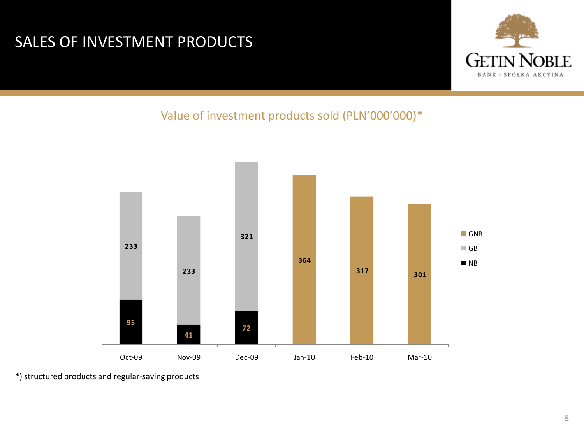# SALES OF INVESTMENT PRODUCTS



Value of investment products sold (PLN'000'000)\*



\*) structured products and regular-saving products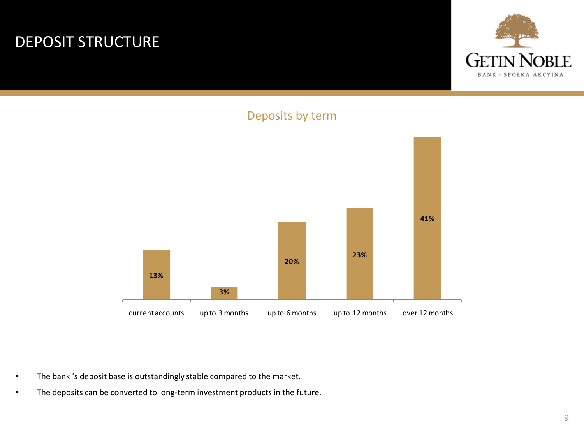# DEPOSIT STRUCTURE







- The bank 's deposit base is outstandingly stable compared to the market.
- The deposits can be converted to long-term investment products in the future.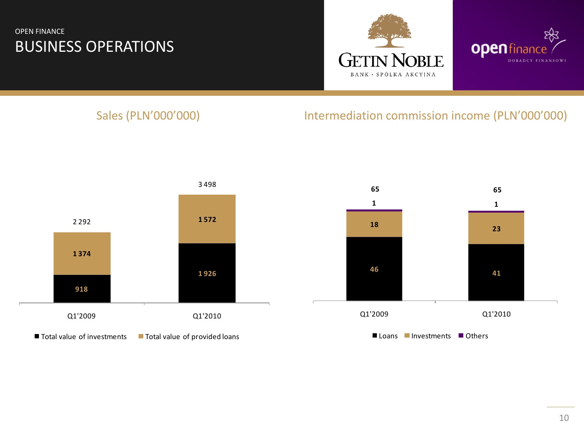### OPEN FINANCE BUSINESS OPERATIONS





### Sales (PLN'000'000) Sales (PLN'000'000) and thermediation commission income (PLN'000'000)



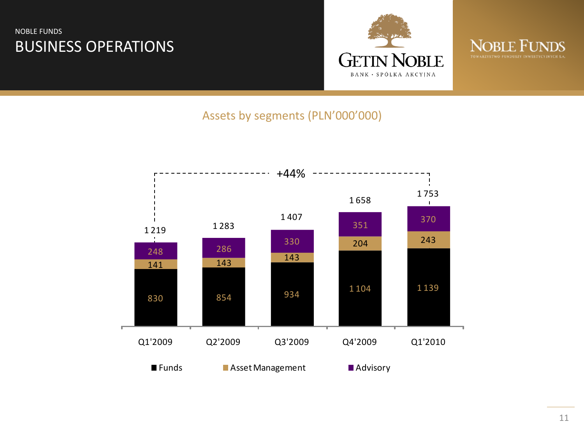### NOBLE FUNDS BUSINESS OPERATIONS





### Assets by segments (PLN'000'000)

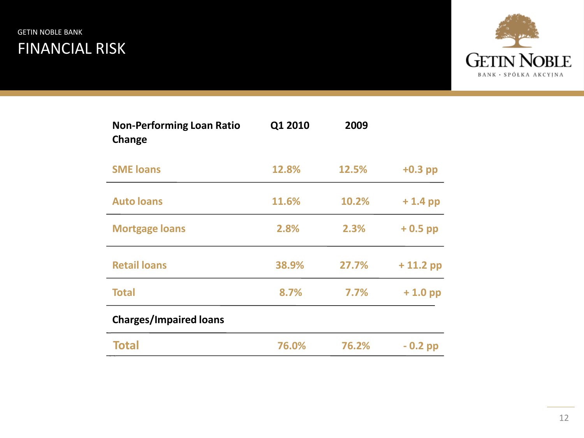### GETIN NOBLE BANK FINANCIAL RISK



| <b>Non-Performing Loan Ratio</b><br>Change | Q1 2010 | 2009  |            |
|--------------------------------------------|---------|-------|------------|
| <b>SME loans</b>                           | 12.8%   | 12.5% | $+0.3$ pp  |
| <b>Auto loans</b>                          | 11.6%   | 10.2% | $+1.4$ pp  |
| <b>Mortgage loans</b>                      | 2.8%    | 2.3%  | $+0.5$ pp  |
| <b>Retail loans</b>                        | 38.9%   | 27.7% | $+11.2$ pp |
| <b>Total</b>                               | 8.7%    | 7.7%  | $+1.0$ pp  |
| <b>Charges/Impaired loans</b>              |         |       |            |
| <b>Total</b>                               | 76.0%   | 76.2% | $-0.2$ pp  |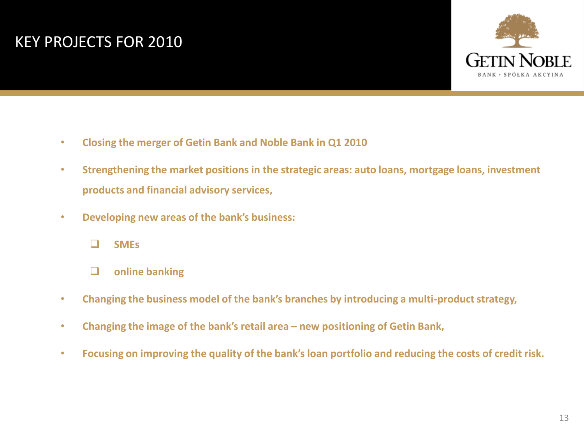# KEY PROJECTS FOR 2010



- **Closing the merger of Getin Bank and Noble Bank in Q1 2010**
- **Strengthening the market positions in the strategic areas: auto loans, mortgage loans, investment products and financial advisory services,**
- **Developing new areas of the bank's business:**



- **online banking**
- **Changing the business model of the bank's branches by introducing a multi-product strategy,**
- **Changing the image of the bank's retail area – new positioning of Getin Bank,**
- **Focusing on improving the quality of the bank's loan portfolio and reducing the costs of credit risk.**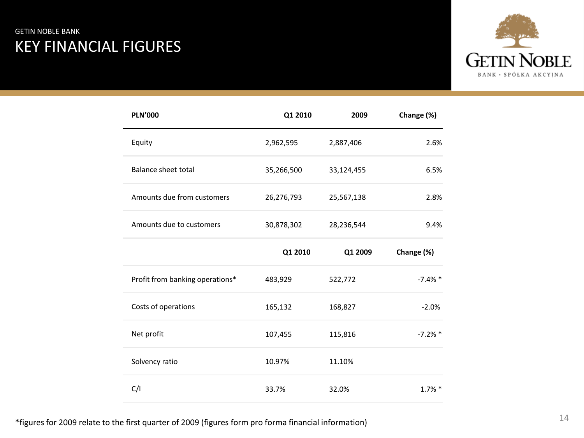### GETIN NOBLE BANK KEY FINANCIAL FIGURES



| <b>PLN'000</b>                  | Q1 2010    | 2009       | Change (%) |
|---------------------------------|------------|------------|------------|
| Equity                          | 2,962,595  | 2,887,406  | 2.6%       |
| Balance sheet total             | 35,266,500 | 33,124,455 | 6.5%       |
| Amounts due from customers      | 26,276,793 | 25,567,138 | 2.8%       |
| Amounts due to customers        | 30,878,302 | 28,236,544 | 9.4%       |
|                                 | Q1 2010    | Q1 2009    | Change (%) |
| Profit from banking operations* | 483,929    | 522,772    | $-7.4%$ *  |
| Costs of operations             | 165,132    | 168,827    | $-2.0%$    |
| Net profit                      | 107,455    | 115,816    | $-7.2%$ *  |
| Solvency ratio                  | 10.97%     | 11.10%     |            |
| C/I                             | 33.7%      | 32.0%      | $1.7\%$ *  |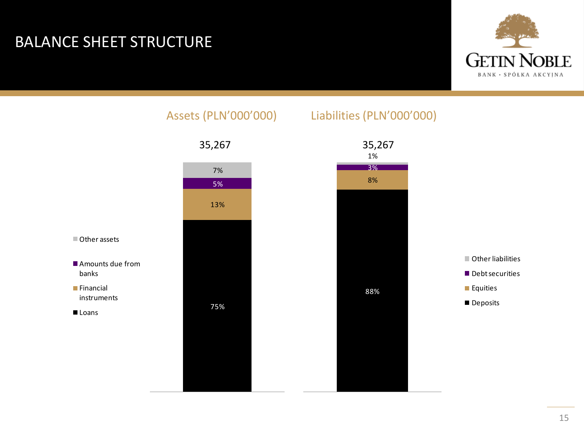# BALANCE SHEET STRUCTURE